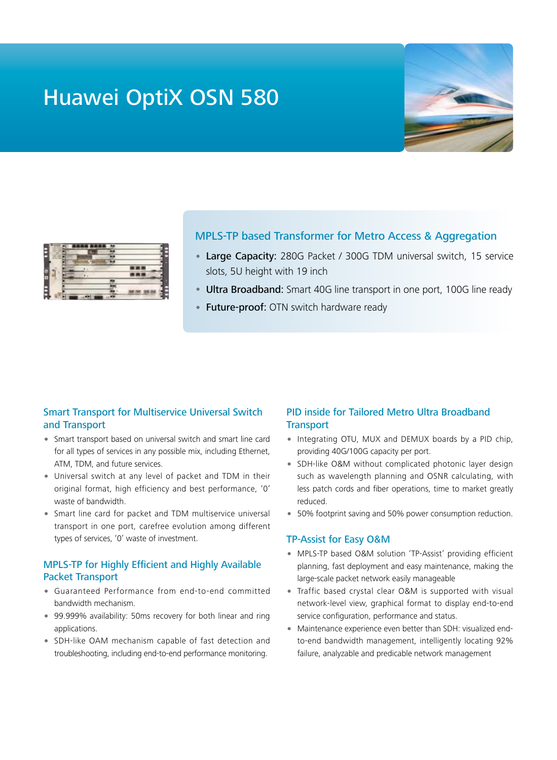# Huawei OptiX OSN 580





### MPLS-TP based Transformer for Metro Access & Aggregation

- Large Capacity: 280G Packet / 300G TDM universal switch, 15 service slots, 5U height with 19 inch
- Ultra Broadband: Smart 40G line transport in one port, 100G line ready
- Future-proof: OTN switch hardware ready

#### Smart Transport for Multiservice Universal Switch and Transport

- Smart transport based on universal switch and smart line card for all types of services in any possible mix, including Ethernet, ATM, TDM, and future services.
- Universal switch at any level of packet and TDM in their original format, high efficiency and best performance, '0' waste of bandwidth.
- Smart line card for packet and TDM multiservice universal transport in one port, carefree evolution among different types of services, '0' waste of investment.

## MPLS-TP for Highly Efficient and Highly Available Packet Transport

- Guaranteed Performance from end-to-end committed bandwidth mechanism.
- 99.999% availability: 50ms recovery for both linear and ring applications.
- SDH-like OAM mechanism capable of fast detection and troubleshooting, including end-to-end performance monitoring.

## PID inside for Tailored Metro Ultra Broadband **Transport**

- Integrating OTU, MUX and DEMUX boards by a PID chip, providing 40G/100G capacity per port.
- SDH-like O&M without complicated photonic layer design such as wavelength planning and OSNR calculating, with less patch cords and fiber operations, time to market greatly reduced.
- 50% footprint saving and 50% power consumption reduction.

#### TP-Assist for Easy O&M

- MPLS-TP based O&M solution 'TP-Assist' providing efficient planning, fast deployment and easy maintenance, making the large-scale packet network easily manageable
- Traffic based crystal clear O&M is supported with visual network-level view, graphical format to display end-to-end service configuration, performance and status.
- Maintenance experience even better than SDH: visualized endto-end bandwidth management, intelligently locating 92% failure, analyzable and predicable network management